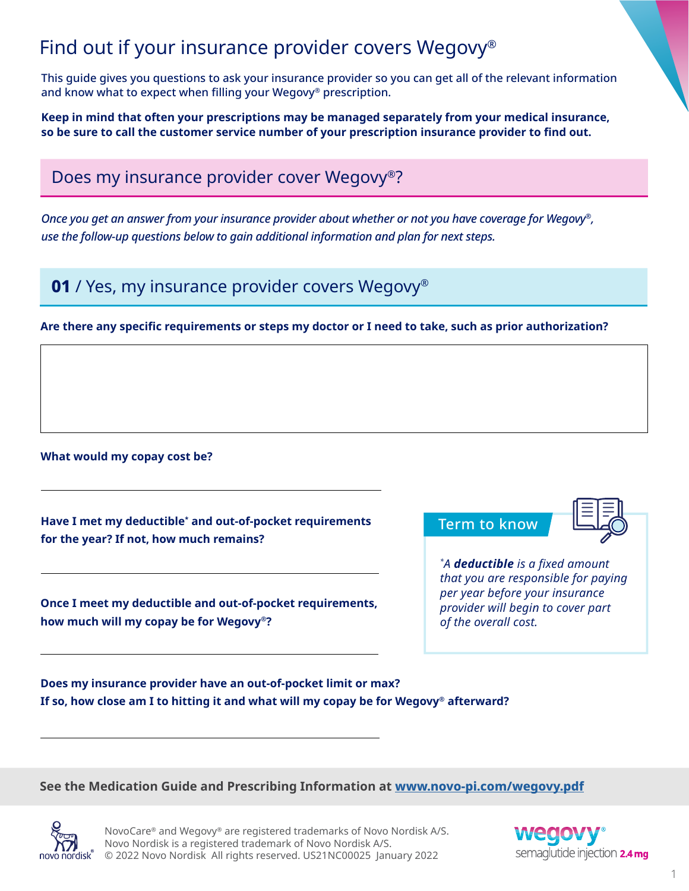## Find out if your insurance provider covers Wegovy®

This guide gives you questions to ask your insurance provider so you can get all of the relevant information and know what to expect when filling your Wegovy® prescription.

**Keep in mind that often your prescriptions may be managed separately from your medical insurance, so be sure to call the customer service number of your prescription insurance provider to find out.**

Does my insurance provider cover Wegovy®?

*Once you get an answer from your insurance provider about whether or not you have coverage for Wegovy®, use the follow-up questions below to gain additional information and plan for next steps.* 

**01** / Yes, my insurance provider covers Wegovy<sup>®</sup>

## **Are there any specific requirements or steps my doctor or I need to take, such as prior authorization?**

**What would my copay cost be?**

**Have I met my deductible\* and out-of-pocket requirements for the year? If not, how much remains?**

**Once I meet my deductible and out-of-pocket requirements, how much will my copay be for Wegovy®?**

Term to know

*\* A deductible is a fixed amount that you are responsible for paying per year before your insurance provider will begin to cover part of the overall cost.*

**Does my insurance provider have an out-of-pocket limit or max? If so, how close am I to hitting it and what will my copay be for Wegovy® afterward?**

**See the Medication Guide and Prescribing Information at [www.novo-pi.com/wegovy.pdf](http://www.novo-pi.com/wegovy.pdf)**



NovoCare® and Wegovy® are registered trademarks of Novo Nordisk A/S. Novo Nordisk is a registered trademark of Novo Nordisk A/S. © 2022 Novo Nordisk All rights reserved. US21NC00025 January 2022